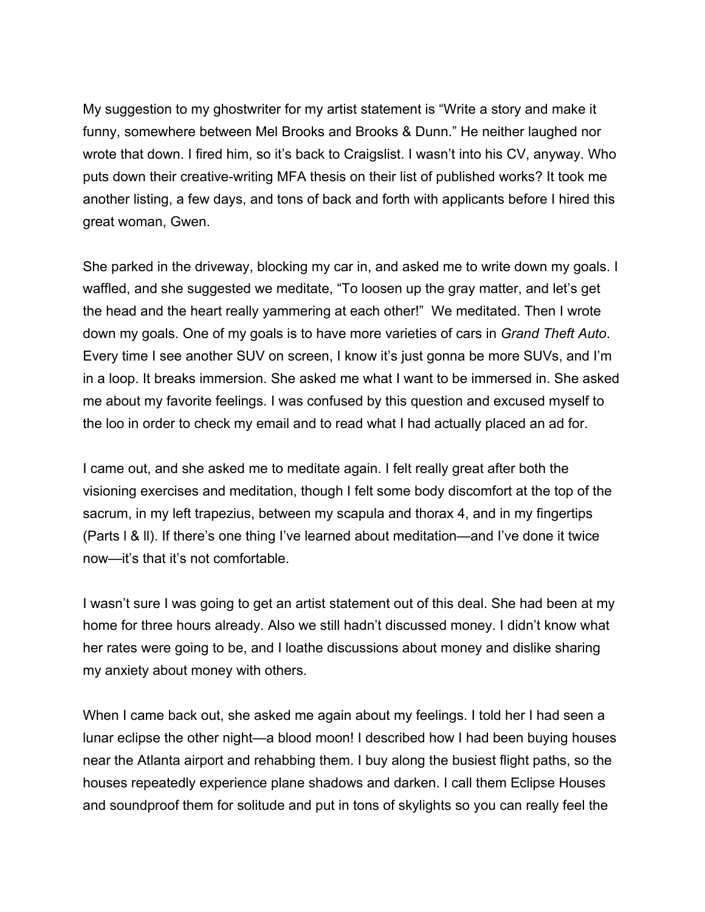My suggestion to my ghostwriter for my artist statement is "Write a story and make it funny, somewhere between Mel Brooks and Brooks & Dunn." He neither laughed nor wrote that down. I fired him, so it's back to Craigslist. I wasn't into his CV, anyway. Who puts down their creative-writing MFA thesis on their list of published works? It took me another listing, a few days, and tons of back and forth with applicants before I hired this great woman, Gwen.

She parked in the driveway, blocking my car in, and asked me to write down my goals. I waffled, and she suggested we meditate, "To loosen up the gray matter, and let's get the head and the heart really yammering at each other!" We meditated. Then I wrote down my goals. One of my goals is to have more varieties of cars in *Grand Theft Auto*. Every time I see another SUV on screen, I know it's just gonna be more SUVs, and I'm in a loop. It breaks immersion. She asked me what I want to be immersed in. She asked me about my favorite feelings. I was confused by this question and excused myself to the loo in order to check my email and to read what I had actually placed an ad for.

I came out, and she asked me to meditate again. I felt really great after both the visioning exercises and meditation, though I felt some body discomfort at the top of the sacrum, in my left trapezius, between my scapula and thorax 4, and in my fingertips (Parts l & ll). If there's one thing I've learned about meditation—and I've done it twice now—it's that it's not comfortable.

I wasn't sure I was going to get an artist statement out of this deal. She had been at my home for three hours already. Also we still hadn't discussed money. I didn't know what her rates were going to be, and I loathe discussions about money and dislike sharing my anxiety about money with others.

When I came back out, she asked me again about my feelings. I told her I had seen a lunar eclipse the other night—a blood moon! I described how I had been buying houses near the Atlanta airport and rehabbing them. I buy along the busiest flight paths, so the houses repeatedly experience plane shadows and darken. I call them Eclipse Houses and soundproof them for solitude and put in tons of skylights so you can really feel the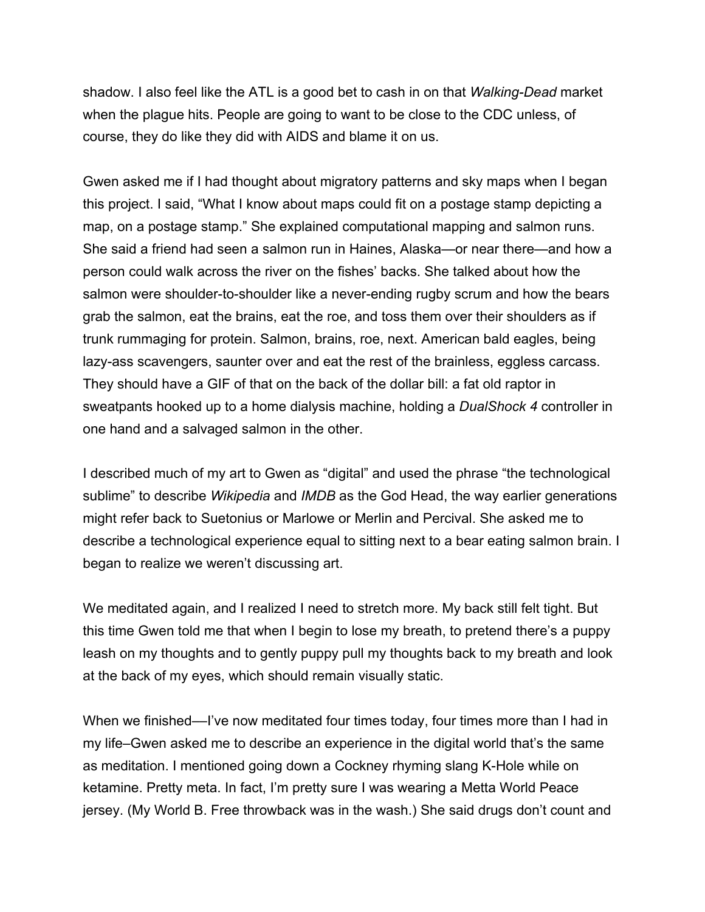shadow. I also feel like the ATL is a good bet to cash in on that *Walking-Dead* market when the plague hits. People are going to want to be close to the CDC unless, of course, they do like they did with AIDS and blame it on us.

Gwen asked me if I had thought about migratory patterns and sky maps when I began this project. I said, "What I know about maps could fit on a postage stamp depicting a map, on a postage stamp." She explained computational mapping and salmon runs. She said a friend had seen a salmon run in Haines, Alaska—or near there—and how a person could walk across the river on the fishes' backs. She talked about how the salmon were shoulder-to-shoulder like a never-ending rugby scrum and how the bears grab the salmon, eat the brains, eat the roe, and toss them over their shoulders as if trunk rummaging for protein. Salmon, brains, roe, next. American bald eagles, being lazy-ass scavengers, saunter over and eat the rest of the brainless, eggless carcass. They should have a GIF of that on the back of the dollar bill: a fat old raptor in sweatpants hooked up to a home dialysis machine, holding a *DualShock 4* controller in one hand and a salvaged salmon in the other.

I described much of my art to Gwen as "digital" and used the phrase "the technological sublime" to describe *Wikipedia* and *IMDB* as the God Head, the way earlier generations might refer back to Suetonius or Marlowe or Merlin and Percival. She asked me to describe a technological experience equal to sitting next to a bear eating salmon brain. I began to realize we weren't discussing art.

We meditated again, and I realized I need to stretch more. My back still felt tight. But this time Gwen told me that when I begin to lose my breath, to pretend there's a puppy leash on my thoughts and to gently puppy pull my thoughts back to my breath and look at the back of my eyes, which should remain visually static.

When we finished—I've now meditated four times today, four times more than I had in my life–Gwen asked me to describe an experience in the digital world that's the same as meditation. I mentioned going down a Cockney rhyming slang K-Hole while on ketamine. Pretty meta. In fact, I'm pretty sure I was wearing a Metta World Peace jersey. (My World B. Free throwback was in the wash.) She said drugs don't count and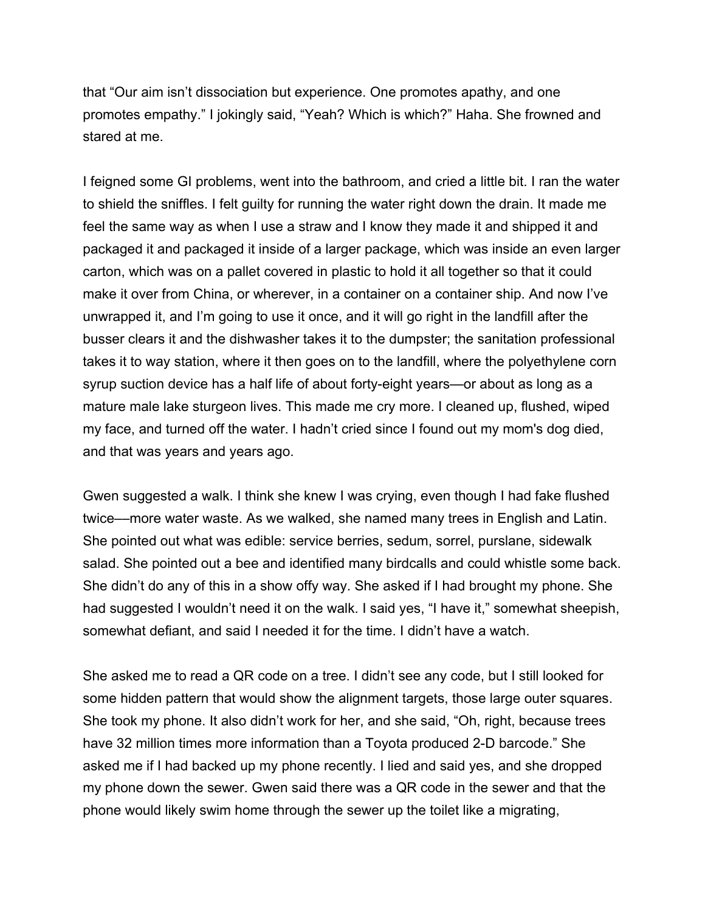that "Our aim isn't dissociation but experience. One promotes apathy, and one promotes empathy." I jokingly said, "Yeah? Which is which?" Haha. She frowned and stared at me.

I feigned some GI problems, went into the bathroom, and cried a little bit. I ran the water to shield the sniffles. I felt guilty for running the water right down the drain. It made me feel the same way as when I use a straw and I know they made it and shipped it and packaged it and packaged it inside of a larger package, which was inside an even larger carton, which was on a pallet covered in plastic to hold it all together so that it could make it over from China, or wherever, in a container on a container ship. And now I've unwrapped it, and I'm going to use it once, and it will go right in the landfill after the busser clears it and the dishwasher takes it to the dumpster; the sanitation professional takes it to way station, where it then goes on to the landfill, where the polyethylene corn syrup suction device has a half life of about forty-eight years—or about as long as a mature male lake sturgeon lives. This made me cry more. I cleaned up, flushed, wiped my face, and turned off the water. I hadn't cried since I found out my mom's dog died, and that was years and years ago.

Gwen suggested a walk. I think she knew I was crying, even though I had fake flushed twice––more water waste. As we walked, she named many trees in English and Latin. She pointed out what was edible: service berries, sedum, sorrel, purslane, sidewalk salad. She pointed out a bee and identified many birdcalls and could whistle some back. She didn't do any of this in a show offy way. She asked if I had brought my phone. She had suggested I wouldn't need it on the walk. I said yes, "I have it," somewhat sheepish, somewhat defiant, and said I needed it for the time. I didn't have a watch.

She asked me to read a QR code on a tree. I didn't see any code, but I still looked for some hidden pattern that would show the alignment targets, those large outer squares. She took my phone. It also didn't work for her, and she said, "Oh, right, because trees have 32 million times more information than a Toyota produced 2-D barcode." She asked me if I had backed up my phone recently. I lied and said yes, and she dropped my phone down the sewer. Gwen said there was a QR code in the sewer and that the phone would likely swim home through the sewer up the toilet like a migrating,